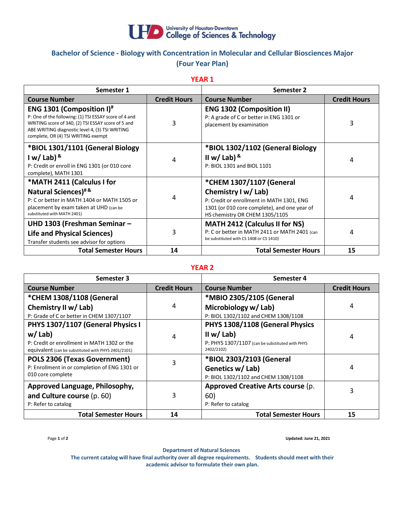

## **Bachelor of Science - Biology with Concentration in Molecular and Cellular Biosciences Major (Four Year Plan)**

**YEAR 1**

| Semester 1                                                                                                                                                                                                                                     |                     | Semester 2                                                                                                                                                                     |                     |
|------------------------------------------------------------------------------------------------------------------------------------------------------------------------------------------------------------------------------------------------|---------------------|--------------------------------------------------------------------------------------------------------------------------------------------------------------------------------|---------------------|
| <b>Course Number</b>                                                                                                                                                                                                                           | <b>Credit Hours</b> | <b>Course Number</b>                                                                                                                                                           | <b>Credit Hours</b> |
| ENG 1301 (Composition I) <sup>#</sup><br>P: One of the following: (1) TSI ESSAY score of 4 and<br>WRITING score of 340, (2) TSI ESSAY score of 5 and<br>ABE WRITING diagnostic level 4, (3) TSI WRITING<br>complete, OR (4) TSI WRITING exempt | 3                   | <b>ENG 1302 (Composition II)</b><br>P: A grade of C or better in ENG 1301 or<br>placement by examination                                                                       | 3                   |
| *BIOL 1301/1101 (General Biology<br>I w/ Lab) $8$<br>P: Credit or enroll in ENG 1301 (or 010 core<br>complete), MATH 1301                                                                                                                      | 4                   | *BIOL 1302/1102 (General Biology<br>II w/ Lab) $8$<br>P: BIOL 1301 and BIOL 1101                                                                                               | 4                   |
| *MATH 2411 (Calculus I for<br>Natural Sciences) <sup>#&amp;</sup><br>P: C or better in MATH 1404 or MATH 1505 or<br>placement by exam taken at UHD (can be<br>substituted with MATH 2401)                                                      | 4                   | *CHEM 1307/1107 (General<br>Chemistry I w/ Lab)<br>P: Credit or enrollment in MATH 1301, ENG<br>1301 (or 010 core complete), and one year of<br>HS chemistry OR CHEM 1305/1105 | 4                   |
| UHD 1303 (Freshman Seminar -<br><b>Life and Physical Sciences)</b><br>Transfer students see advisor for options                                                                                                                                | 3                   | <b>MATH 2412 (Calculus II for NS)</b><br>P: C or better in MATH 2411 or MATH 2401 (can<br>be substituted with CS 1408 or CS 1410)                                              | 4                   |
| <b>Total Semester Hours</b>                                                                                                                                                                                                                    | 14                  | <b>Total Semester Hours</b>                                                                                                                                                    | 15                  |

## **YEAR 2**

| Semester 3                                          |                     | Semester 4                                      |                     |
|-----------------------------------------------------|---------------------|-------------------------------------------------|---------------------|
| <b>Course Number</b>                                | <b>Credit Hours</b> | <b>Course Number</b>                            | <b>Credit Hours</b> |
| *CHEM 1308/1108 (General                            |                     | *MBIO 2305/2105 (General                        |                     |
| Chemistry II w/ Lab)                                | 4                   | Microbiology w/ Lab)                            | 4                   |
| P: Grade of C or better in CHEM 1307/1107           |                     | P: BIOL 1302/1102 and CHEM 1308/1108            |                     |
| PHYS 1307/1107 (General Physics I                   |                     | PHYS 1308/1108 (General Physics                 |                     |
| $w /$ Lab)                                          | 4                   | II w/ Lab)                                      | 4                   |
| P: Credit or enrollment in MATH 1302 or the         |                     | P: PHYS 1307/1107 (can be substituted with PHYS |                     |
| equivalent (can be substituted with PHYS 2401/2101) |                     | 2402/2102)                                      |                     |
| POLS 2306 (Texas Government)                        | 3                   | *BIOL 2303/2103 (General                        |                     |
| P: Enrollment in or completion of ENG 1301 or       |                     | Genetics w/ Lab)                                | 4                   |
| 010 core complete                                   |                     | P: BIOL 1302/1102 and CHEM 1308/1108            |                     |
| Approved Language, Philosophy,                      |                     | Approved Creative Arts course (p.               |                     |
| and Culture course (p. 60)                          | 3                   | 60)                                             | 3                   |
| P: Refer to catalog                                 |                     | P: Refer to catalog                             |                     |
| <b>Total Semester Hours</b>                         | 14                  | <b>Total Semester Hours</b>                     | 15                  |

Page **1** of **2 Updated: June 21, 2021**

**Department of Natural Sciences**

**The current catalog will have final authority over all degree requirements. Students should meet with their academic advisor to formulate their own plan.**